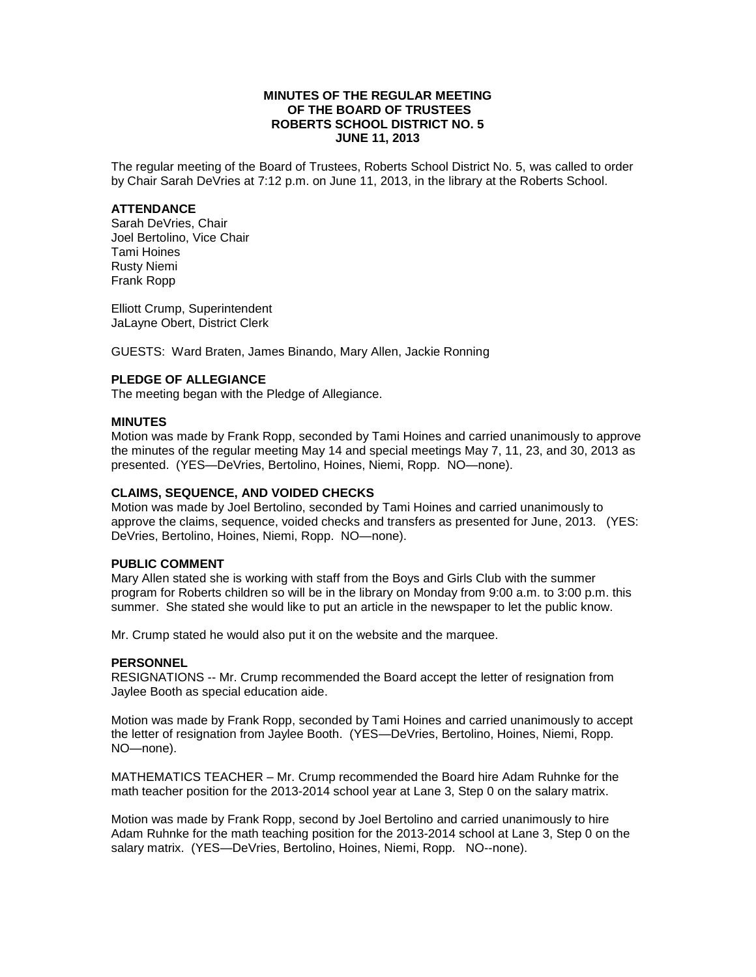# **MINUTES OF THE REGULAR MEETING OF THE BOARD OF TRUSTEES ROBERTS SCHOOL DISTRICT NO. 5 JUNE 11, 2013**

The regular meeting of the Board of Trustees, Roberts School District No. 5, was called to order by Chair Sarah DeVries at 7:12 p.m. on June 11, 2013, in the library at the Roberts School.

### **ATTENDANCE**

Sarah DeVries, Chair Joel Bertolino, Vice Chair Tami Hoines Rusty Niemi Frank Ropp

Elliott Crump, Superintendent JaLayne Obert, District Clerk

GUESTS: Ward Braten, James Binando, Mary Allen, Jackie Ronning

# **PLEDGE OF ALLEGIANCE**

The meeting began with the Pledge of Allegiance.

## **MINUTES**

Motion was made by Frank Ropp, seconded by Tami Hoines and carried unanimously to approve the minutes of the regular meeting May 14 and special meetings May 7, 11, 23, and 30, 2013 as presented. (YES—DeVries, Bertolino, Hoines, Niemi, Ropp. NO—none).

## **CLAIMS, SEQUENCE, AND VOIDED CHECKS**

Motion was made by Joel Bertolino, seconded by Tami Hoines and carried unanimously to approve the claims, sequence, voided checks and transfers as presented for June, 2013. (YES: DeVries, Bertolino, Hoines, Niemi, Ropp. NO—none).

### **PUBLIC COMMENT**

Mary Allen stated she is working with staff from the Boys and Girls Club with the summer program for Roberts children so will be in the library on Monday from 9:00 a.m. to 3:00 p.m. this summer. She stated she would like to put an article in the newspaper to let the public know.

Mr. Crump stated he would also put it on the website and the marquee.

# **PERSONNEL**

RESIGNATIONS -- Mr. Crump recommended the Board accept the letter of resignation from Jaylee Booth as special education aide.

Motion was made by Frank Ropp, seconded by Tami Hoines and carried unanimously to accept the letter of resignation from Jaylee Booth. (YES—DeVries, Bertolino, Hoines, Niemi, Ropp. NO—none).

MATHEMATICS TEACHER – Mr. Crump recommended the Board hire Adam Ruhnke for the math teacher position for the 2013-2014 school year at Lane 3, Step 0 on the salary matrix.

Motion was made by Frank Ropp, second by Joel Bertolino and carried unanimously to hire Adam Ruhnke for the math teaching position for the 2013-2014 school at Lane 3, Step 0 on the salary matrix. (YES—DeVries, Bertolino, Hoines, Niemi, Ropp. NO--none).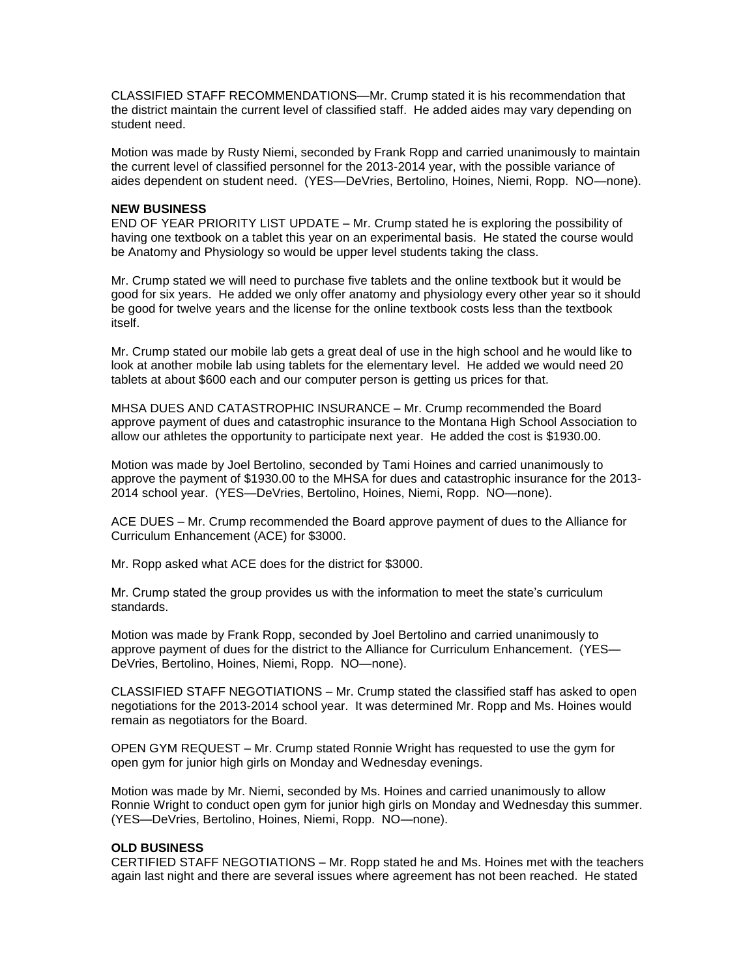CLASSIFIED STAFF RECOMMENDATIONS—Mr. Crump stated it is his recommendation that the district maintain the current level of classified staff. He added aides may vary depending on student need.

Motion was made by Rusty Niemi, seconded by Frank Ropp and carried unanimously to maintain the current level of classified personnel for the 2013-2014 year, with the possible variance of aides dependent on student need. (YES—DeVries, Bertolino, Hoines, Niemi, Ropp. NO—none).

### **NEW BUSINESS**

END OF YEAR PRIORITY LIST UPDATE – Mr. Crump stated he is exploring the possibility of having one textbook on a tablet this year on an experimental basis. He stated the course would be Anatomy and Physiology so would be upper level students taking the class.

Mr. Crump stated we will need to purchase five tablets and the online textbook but it would be good for six years. He added we only offer anatomy and physiology every other year so it should be good for twelve years and the license for the online textbook costs less than the textbook itself.

Mr. Crump stated our mobile lab gets a great deal of use in the high school and he would like to look at another mobile lab using tablets for the elementary level. He added we would need 20 tablets at about \$600 each and our computer person is getting us prices for that.

MHSA DUES AND CATASTROPHIC INSURANCE – Mr. Crump recommended the Board approve payment of dues and catastrophic insurance to the Montana High School Association to allow our athletes the opportunity to participate next year. He added the cost is \$1930.00.

Motion was made by Joel Bertolino, seconded by Tami Hoines and carried unanimously to approve the payment of \$1930.00 to the MHSA for dues and catastrophic insurance for the 2013- 2014 school year. (YES—DeVries, Bertolino, Hoines, Niemi, Ropp. NO—none).

ACE DUES – Mr. Crump recommended the Board approve payment of dues to the Alliance for Curriculum Enhancement (ACE) for \$3000.

Mr. Ropp asked what ACE does for the district for \$3000.

Mr. Crump stated the group provides us with the information to meet the state's curriculum standards.

Motion was made by Frank Ropp, seconded by Joel Bertolino and carried unanimously to approve payment of dues for the district to the Alliance for Curriculum Enhancement. (YES— DeVries, Bertolino, Hoines, Niemi, Ropp. NO—none).

CLASSIFIED STAFF NEGOTIATIONS – Mr. Crump stated the classified staff has asked to open negotiations for the 2013-2014 school year. It was determined Mr. Ropp and Ms. Hoines would remain as negotiators for the Board.

OPEN GYM REQUEST – Mr. Crump stated Ronnie Wright has requested to use the gym for open gym for junior high girls on Monday and Wednesday evenings.

Motion was made by Mr. Niemi, seconded by Ms. Hoines and carried unanimously to allow Ronnie Wright to conduct open gym for junior high girls on Monday and Wednesday this summer. (YES—DeVries, Bertolino, Hoines, Niemi, Ropp. NO—none).

### **OLD BUSINESS**

CERTIFIED STAFF NEGOTIATIONS – Mr. Ropp stated he and Ms. Hoines met with the teachers again last night and there are several issues where agreement has not been reached. He stated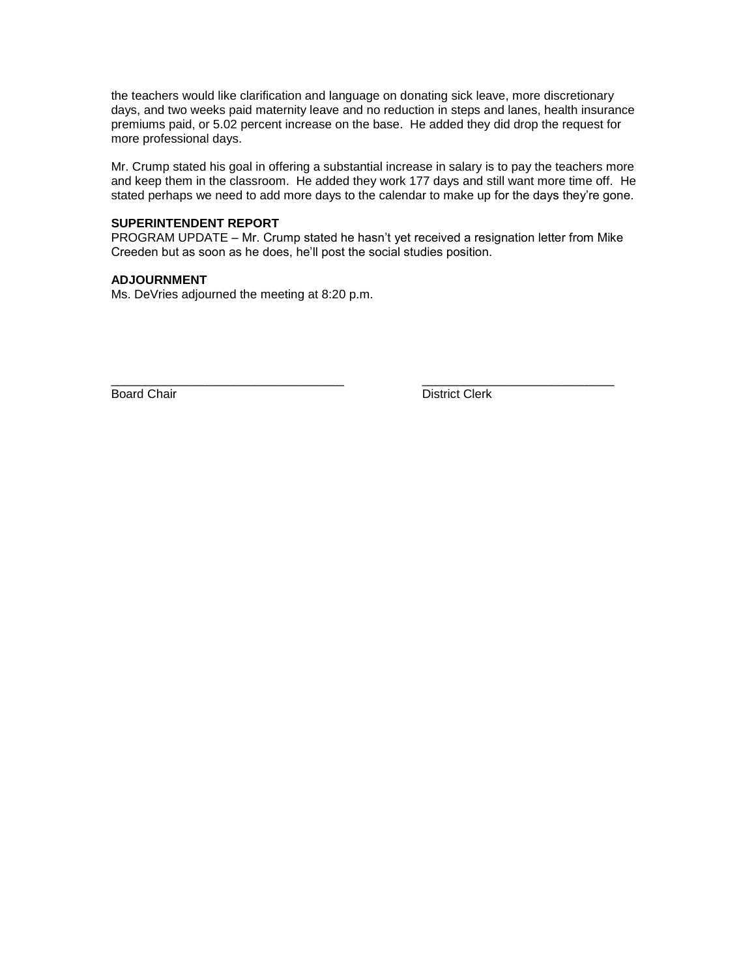the teachers would like clarification and language on donating sick leave, more discretionary days, and two weeks paid maternity leave and no reduction in steps and lanes, health insurance premiums paid, or 5.02 percent increase on the base. He added they did drop the request for more professional days.

Mr. Crump stated his goal in offering a substantial increase in salary is to pay the teachers more and keep them in the classroom. He added they work 177 days and still want more time off. He stated perhaps we need to add more days to the calendar to make up for the days they're gone.

# **SUPERINTENDENT REPORT**

PROGRAM UPDATE – Mr. Crump stated he hasn't yet received a resignation letter from Mike Creeden but as soon as he does, he'll post the social studies position.

# **ADJOURNMENT**

Ms. DeVries adjourned the meeting at 8:20 p.m.

\_\_\_\_\_\_\_\_\_\_\_\_\_\_\_\_\_\_\_\_\_\_\_\_\_\_\_\_\_\_\_\_\_\_ \_\_\_\_\_\_\_\_\_\_\_\_\_\_\_\_\_\_\_\_\_\_\_\_\_\_\_\_ Board Chair **District Clerk**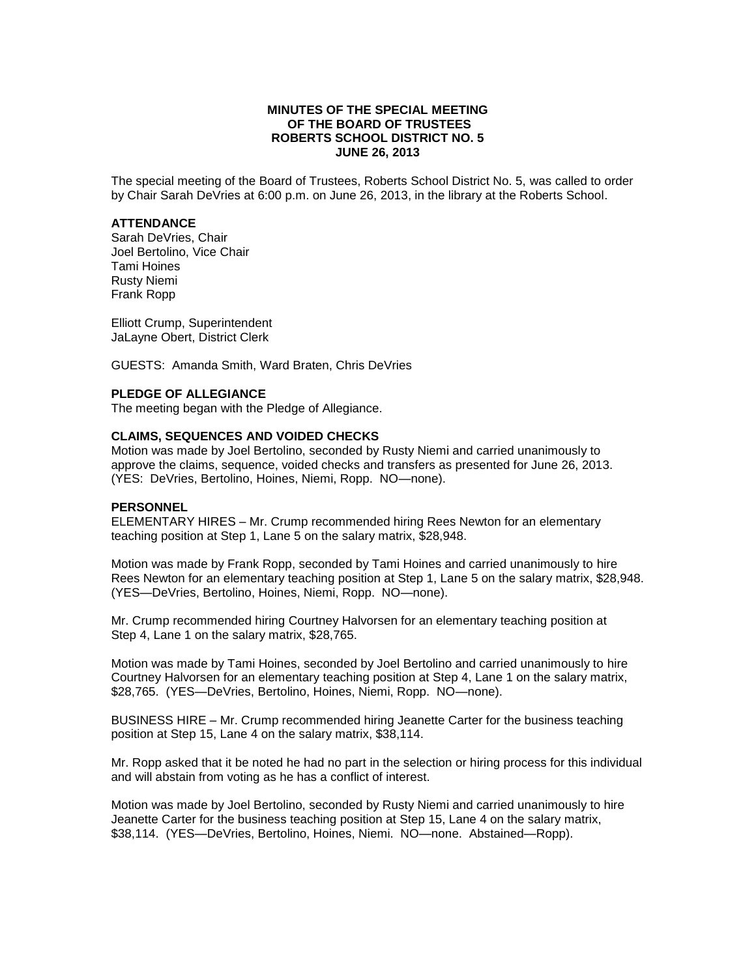## **MINUTES OF THE SPECIAL MEETING OF THE BOARD OF TRUSTEES ROBERTS SCHOOL DISTRICT NO. 5 JUNE 26, 2013**

The special meeting of the Board of Trustees, Roberts School District No. 5, was called to order by Chair Sarah DeVries at 6:00 p.m. on June 26, 2013, in the library at the Roberts School.

# **ATTENDANCE**

Sarah DeVries, Chair Joel Bertolino, Vice Chair Tami Hoines Rusty Niemi Frank Ropp

Elliott Crump, Superintendent JaLayne Obert, District Clerk

GUESTS: Amanda Smith, Ward Braten, Chris DeVries

### **PLEDGE OF ALLEGIANCE**

The meeting began with the Pledge of Allegiance.

### **CLAIMS, SEQUENCES AND VOIDED CHECKS**

Motion was made by Joel Bertolino, seconded by Rusty Niemi and carried unanimously to approve the claims, sequence, voided checks and transfers as presented for June 26, 2013. (YES: DeVries, Bertolino, Hoines, Niemi, Ropp. NO—none).

### **PERSONNEL**

ELEMENTARY HIRES – Mr. Crump recommended hiring Rees Newton for an elementary teaching position at Step 1, Lane 5 on the salary matrix, \$28,948.

Motion was made by Frank Ropp, seconded by Tami Hoines and carried unanimously to hire Rees Newton for an elementary teaching position at Step 1, Lane 5 on the salary matrix, \$28,948. (YES—DeVries, Bertolino, Hoines, Niemi, Ropp. NO—none).

Mr. Crump recommended hiring Courtney Halvorsen for an elementary teaching position at Step 4, Lane 1 on the salary matrix, \$28,765.

Motion was made by Tami Hoines, seconded by Joel Bertolino and carried unanimously to hire Courtney Halvorsen for an elementary teaching position at Step 4, Lane 1 on the salary matrix, \$28,765. (YES—DeVries, Bertolino, Hoines, Niemi, Ropp. NO—none).

BUSINESS HIRE – Mr. Crump recommended hiring Jeanette Carter for the business teaching position at Step 15, Lane 4 on the salary matrix, \$38,114.

Mr. Ropp asked that it be noted he had no part in the selection or hiring process for this individual and will abstain from voting as he has a conflict of interest.

Motion was made by Joel Bertolino, seconded by Rusty Niemi and carried unanimously to hire Jeanette Carter for the business teaching position at Step 15, Lane 4 on the salary matrix, \$38,114. (YES—DeVries, Bertolino, Hoines, Niemi. NO—none. Abstained—Ropp).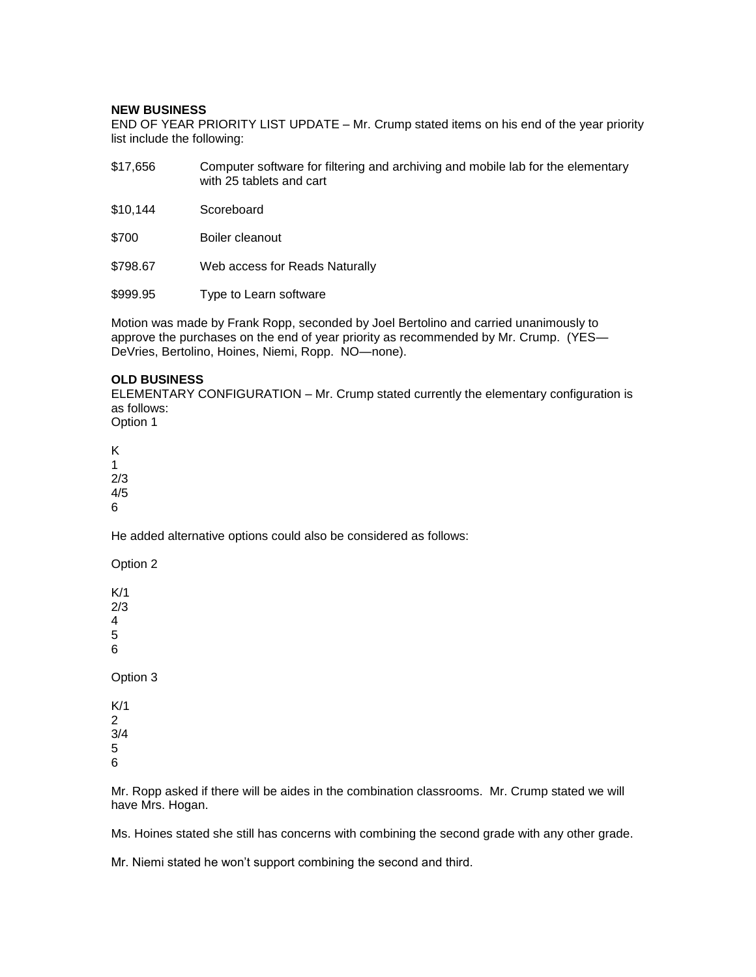### **NEW BUSINESS**

END OF YEAR PRIORITY LIST UPDATE – Mr. Crump stated items on his end of the year priority list include the following:

- \$17,656 Computer software for filtering and archiving and mobile lab for the elementary with 25 tablets and cart
- \$10,144 Scoreboard
- \$700 Boiler cleanout
- \$798.67 Web access for Reads Naturally
- \$999.95 Type to Learn software

Motion was made by Frank Ropp, seconded by Joel Bertolino and carried unanimously to approve the purchases on the end of year priority as recommended by Mr. Crump. (YES— DeVries, Bertolino, Hoines, Niemi, Ropp. NO—none).

## **OLD BUSINESS**

ELEMENTARY CONFIGURATION – Mr. Crump stated currently the elementary configuration is as follows: Option 1

K 1 2/3

4/5 6

He added alternative options could also be considered as follows:

Option 2

K/1 2/3 4 5 6

Option 3

K/1 2 3/4 5 6

Mr. Ropp asked if there will be aides in the combination classrooms. Mr. Crump stated we will have Mrs. Hogan.

Ms. Hoines stated she still has concerns with combining the second grade with any other grade.

Mr. Niemi stated he won't support combining the second and third.